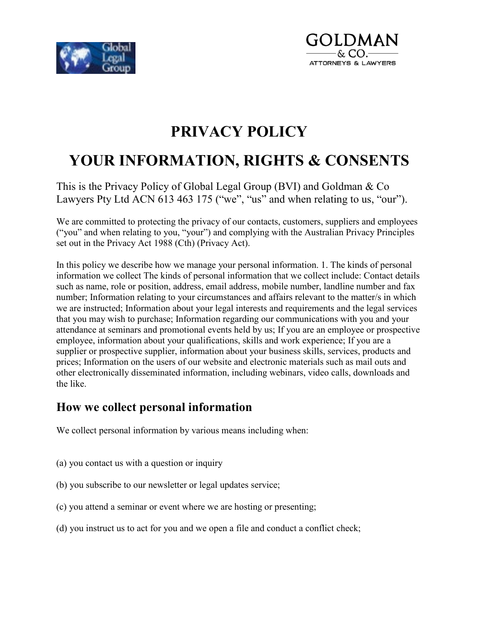



## **PRIVACY POLICY**

# **YOUR INFORMATION, RIGHTS & CONSENTS**

This is the Privacy Policy of Global Legal Group (BVI) and Goldman & Co Lawyers Pty Ltd ACN 613 463 175 ("we", "us" and when relating to us, "our").

We are committed to protecting the privacy of our contacts, customers, suppliers and employees ("you" and when relating to you, "your") and complying with the Australian Privacy Principles set out in the Privacy Act 1988 (Cth) (Privacy Act).

In this policy we describe how we manage your personal information. 1. The kinds of personal information we collect The kinds of personal information that we collect include: Contact details such as name, role or position, address, email address, mobile number, landline number and fax number; Information relating to your circumstances and affairs relevant to the matter/s in which we are instructed; Information about your legal interests and requirements and the legal services that you may wish to purchase; Information regarding our communications with you and your attendance at seminars and promotional events held by us; If you are an employee or prospective employee, information about your qualifications, skills and work experience; If you are a supplier or prospective supplier, information about your business skills, services, products and prices; Information on the users of our website and electronic materials such as mail outs and other electronically disseminated information, including webinars, video calls, downloads and the like.

#### **How we collect personal information**

We collect personal information by various means including when:

- (a) you contact us with a question or inquiry
- (b) you subscribe to our newsletter or legal updates service;
- (c) you attend a seminar or event where we are hosting or presenting;
- (d) you instruct us to act for you and we open a file and conduct a conflict check;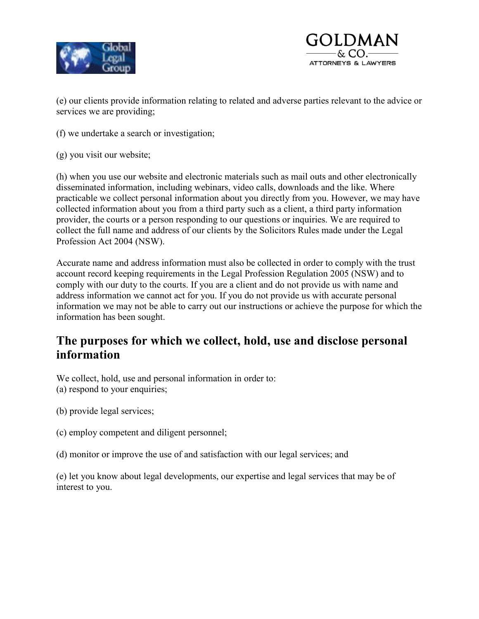



(e) our clients provide information relating to related and adverse parties relevant to the advice or services we are providing;

- (f) we undertake a search or investigation;
- (g) you visit our website;

(h) when you use our website and electronic materials such as mail outs and other electronically disseminated information, including webinars, video calls, downloads and the like. Where practicable we collect personal information about you directly from you. However, we may have collected information about you from a third party such as a client, a third party information provider, the courts or a person responding to our questions or inquiries. We are required to collect the full name and address of our clients by the Solicitors Rules made under the Legal Profession Act 2004 (NSW).

Accurate name and address information must also be collected in order to comply with the trust account record keeping requirements in the Legal Profession Regulation 2005 (NSW) and to comply with our duty to the courts. If you are a client and do not provide us with name and address information we cannot act for you. If you do not provide us with accurate personal information we may not be able to carry out our instructions or achieve the purpose for which the information has been sought.

#### **The purposes for which we collect, hold, use and disclose personal information**

We collect, hold, use and personal information in order to: (a) respond to your enquiries;

- (b) provide legal services;
- (c) employ competent and diligent personnel;
- (d) monitor or improve the use of and satisfaction with our legal services; and

(e) let you know about legal developments, our expertise and legal services that may be of interest to you.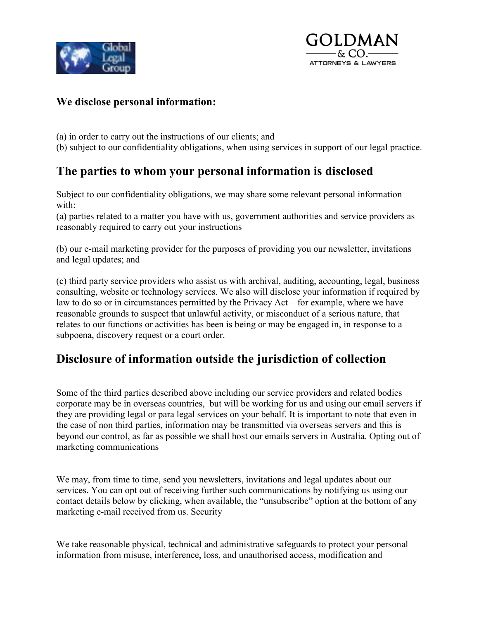



#### **We disclose personal information:**

- (a) in order to carry out the instructions of our clients; and
- (b) subject to our confidentiality obligations, when using services in support of our legal practice.

#### **The parties to whom your personal information is disclosed**

Subject to our confidentiality obligations, we may share some relevant personal information with:

(a) parties related to a matter you have with us, government authorities and service providers as reasonably required to carry out your instructions

(b) our e-mail marketing provider for the purposes of providing you our newsletter, invitations and legal updates; and

(c) third party service providers who assist us with archival, auditing, accounting, legal, business consulting, website or technology services. We also will disclose your information if required by law to do so or in circumstances permitted by the Privacy Act – for example, where we have reasonable grounds to suspect that unlawful activity, or misconduct of a serious nature, that relates to our functions or activities has been is being or may be engaged in, in response to a subpoena, discovery request or a court order.

#### **Disclosure of information outside the jurisdiction of collection**

Some of the third parties described above including our service providers and related bodies corporate may be in overseas countries, but will be working for us and using our email servers if they are providing legal or para legal services on your behalf. It is important to note that even in the case of non third parties, information may be transmitted via overseas servers and this is beyond our control, as far as possible we shall host our emails servers in Australia. Opting out of marketing communications

We may, from time to time, send you newsletters, invitations and legal updates about our services. You can opt out of receiving further such communications by notifying us using our contact details below by clicking, when available, the "unsubscribe" option at the bottom of any marketing e-mail received from us. Security

We take reasonable physical, technical and administrative safeguards to protect your personal information from misuse, interference, loss, and unauthorised access, modification and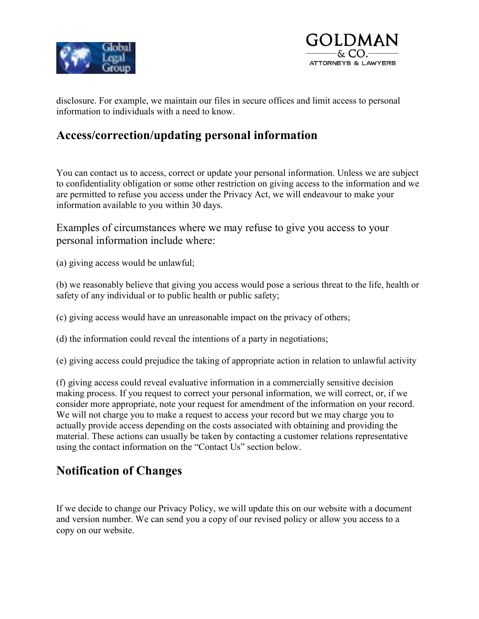



disclosure. For example, we maintain our files in secure offices and limit access to personal information to individuals with a need to know.

#### **Access/correction/updating personal information**

You can contact us to access, correct or update your personal information. Unless we are subject to confidentiality obligation or some other restriction on giving access to the information and we are permitted to refuse you access under the Privacy Act, we will endeavour to make your information available to you within 30 days.

Examples of circumstances where we may refuse to give you access to your personal information include where:

(a) giving access would be unlawful;

(b) we reasonably believe that giving you access would pose a serious threat to the life, health or safety of any individual or to public health or public safety;

(c) giving access would have an unreasonable impact on the privacy of others;

(d) the information could reveal the intentions of a party in negotiations;

(e) giving access could prejudice the taking of appropriate action in relation to unlawful activity

(f) giving access could reveal evaluative information in a commercially sensitive decision making process. If you request to correct your personal information, we will correct, or, if we consider more appropriate, note your request for amendment of the information on your record. We will not charge you to make a request to access your record but we may charge you to actually provide access depending on the costs associated with obtaining and providing the material. These actions can usually be taken by contacting a customer relations representative using the contact information on the "Contact Us" section below.

#### **Notification of Changes**

If we decide to change our Privacy Policy, we will update this on our website with a document and version number. We can send you a copy of our revised policy or allow you access to a copy on our website.